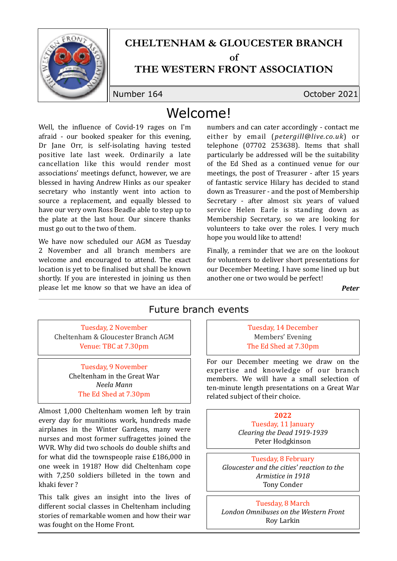

## **CHELTENHAM & GLOUCESTER BRANCH**

 $\alpha$ **f** 

#### **THE WESTERN FRONT ASSOCIATION**

Number 164 October 2021

# Welcome!

Well, the influence of Covid-19 rages on I'm afraid - our booked speaker for this evening, Dr Jane Orr, is self-isolating having tested positive late last week. Ordinarily a late cancellation like this would render most associations' meetings defunct, however, we are blessed in having Andrew Hinks as our speaker secretary who instantly went into action to source a replacement, and equally blessed to have our very own Ross Beadle able to step up to the plate at the last hour. Our sincere thanks must go out to the two of them.

We have now scheduled our AGM as Tuesday 2 November and all branch members are welcome and encouraged to attend. The exact location is yet to be finalised but shall be known shortly. If you are interested in joining us then please let me know so that we have an idea of numbers and can cater accordingly - contact me either by email (*petergill@live.co.uk*) or telephone (07702 253638). Items that shall particularly be addressed will be the suitability of the Ed Shed as a continued venue for our meetings, the post of Treasurer - after 15 years of fantastic service Hilary has decided to stand down as Treasurer - and the post of Membership Secretary - after almost six years of valued service Helen Earle is standing down as Membership Secretary, so we are looking for volunteers to take over the roles. I very much hope you would like to attend!

Finally, a reminder that we are on the lookout for volunteers to deliver short presentations for our December Meeting. I have some lined up but another one or two would be perfect!

*Peter*

#### Future branch events

Tuesday, 2 November Cheltenham & Gloucester Branch AGM Venue: TBC at 7.30pm

> Tuesday, 9 November Cheltenham in the Great War *Neela Mann* The Ed Shed at 7.30pm

Almost 1,000 Cheltenham women left by train every day for munitions work, hundreds made airplanes in the Winter Gardens, many were nurses and most former suffragettes joined the WVR. Why did two schools do double shifts and for what did the townspeople raise  $£186,000$  in one week in 1918? How did Cheltenham cope with 7.250 soldiers billeted in the town and khaki fever?

This talk gives an insight into the lives of different social classes in Cheltenham including stories of remarkable women and how their war was fought on the Home Front.

Tuesday, 14 December Members' Evening The Ed Shed at 7.30pm

For our December meeting we draw on the expertise and knowledge of our branch members. We will have a small selection of ten-minute length presentations on a Great War related subject of their choice.

> **2022** Tuesday, 11 January *Clearing the Dead 1919-1939*  Peter Hodgkinson

Tuesday, 8 February Gloucester and the cities' reaction to the *Armistice in 1918* **Tony Conder** 

#### Tuesday, 8 March

**London Omnibuses on the Western Front** Roy Larkin